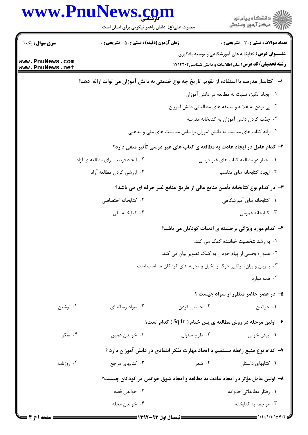|                                    | www.PnuNews.com<br>حضرت علی(ع): دانش راهبر نیکویی برای ایمان است                             |                                                                      | .<br>ڪ دانشڪاه پيام نور<br>7- مرڪز آزمون وسنڊش                                                                             |
|------------------------------------|----------------------------------------------------------------------------------------------|----------------------------------------------------------------------|----------------------------------------------------------------------------------------------------------------------------|
| سری سوال: یک ۱                     | <b>زمان آزمون (دقیقه) : تستی : 50 ٪ تشریحی : 0</b>                                           |                                                                      | <b>تعداد سوالات : تستی : 30 ٪ تشریحی : 0</b>                                                                               |
| www.PnuNews.com<br>www.PnuNews.net |                                                                                              |                                                                      | <b>عنــــوان درس:</b> کتابخانه های آموزشگاهی و توسعه یادگیری<br><b>رشته تحصیلی/کد درس:</b> علم اطلاعات و دانش شناسی1۷۱۲۲۰۴ |
|                                    | ا–۔ کتابدار مدرسه با استفاده از تقویم تاریخ چه نوع خدمتی به دانش آموزان می تواند ارائه ًدهد؟ |                                                                      |                                                                                                                            |
|                                    |                                                                                              |                                                                      | ٠١. ايجاد انگيزه نسبت به مطالعه در دانش آموزان                                                                             |
|                                    |                                                                                              |                                                                      | ۰۲ پی بردن به علاقه و سلیقه های مطالعاتی دانش آموزان                                                                       |
|                                    |                                                                                              |                                                                      | ۰۳ جذب کردن دانش آموزان به کتابخانه مدرسه                                                                                  |
|                                    |                                                                                              | ۰۴ ارائه کتاب های مناسب به دانش آموزان براساس مناسبت های ملی و مذهبی |                                                                                                                            |
|                                    |                                                                                              |                                                                      | ۲- کدام عامل در ایجاد عادت به مطالعه ی کتاب های غیر درسی تأثیر منفی دارد؟                                                  |
|                                    | ۰۲ ایجاد فرصت برای مطالعه ی آزاد                                                             |                                                                      | ۰۱ اجبار در مطالعه کتاب های غیر درسی                                                                                       |
|                                    | ۰۴ ارزشي كردن مطالعه آزاد                                                                    |                                                                      | ۰۳ ایجاد کتابخانه های مناسب                                                                                                |
|                                    |                                                                                              |                                                                      | ۳- در کدام نوع کتابخانه تأمین منابع مالی از طریق منابع غیر حرفه ای می باشد؟                                                |
|                                    | ۰۲ کتابخانه اختصاصی                                                                          |                                                                      | ۰۱ کتابخانه های آموزشگاهی                                                                                                  |
|                                    | ۰۴ کتابخانه ملی                                                                              |                                                                      | ۰۳ کتابخانه عمومی                                                                                                          |
|                                    |                                                                                              |                                                                      | ۴- کدام مورد ویژگی برجسته ی ادبیات کودکان می باشد؟                                                                         |
|                                    |                                                                                              |                                                                      | ۰۱ به رشد شخصیت خواننده کمک می کند.                                                                                        |
|                                    |                                                                                              |                                                                      | ۰۲ همواره بخشی از پیام خود را به کمک تصویر بیان می کند.                                                                    |
|                                    |                                                                                              | ۰۳ با زبان و بیان، توانایی درک و تخیل و تجربه های کودکان متناسب است  |                                                                                                                            |
|                                    |                                                                                              |                                                                      | ۰۴ همه موارد                                                                                                               |
|                                    |                                                                                              |                                                                      | ۵- در عصر حاضر منظور از سواد چیست ؟                                                                                        |
| ۰۴ نوشتن                           | ۰۳ سواد رسانه ای                                                                             | ۰۲ حساب کردن                                                         | ۰۱ خواندن                                                                                                                  |
|                                    |                                                                                              |                                                                      | ولین مرحله در روش مطالعه ی پس ختام ( Sq4r ) کدام است؟ $\bullet$                                                            |
| ۰۴ تفکر                            | ۰۳ خواندن عميق                                                                               | ۰۲ طرح سئوال                                                         | ۰۱ پیش خوانی                                                                                                               |
|                                    |                                                                                              |                                                                      | ۷– کدام نوع منبع رابطه مستقیم با ایجاد مهارت تفکر انتقادی در دانش آموزان دارد ؟                                            |
| ۰۴ روزنامه                         | ۰۳ کتابهای مرجع                                                                              | ۰۲ شعر                                                               | ۰۱ کتابهای داستان                                                                                                          |
|                                    |                                                                                              |                                                                      | ۸– اولین عامل مؤثر در ایجاد عادت به مطالعه و ایجاد شوق خواندن در کودکان چیست؟                                              |
|                                    | ۰۲ خواندن قصه                                                                                |                                                                      | ۰۱ رفتار مطالعاتی خانواده                                                                                                  |
|                                    | ۰۴ خواندن مجله                                                                               |                                                                      | ۰۳ مراجعه به کتابخانه                                                                                                      |
|                                    |                                                                                              |                                                                      |                                                                                                                            |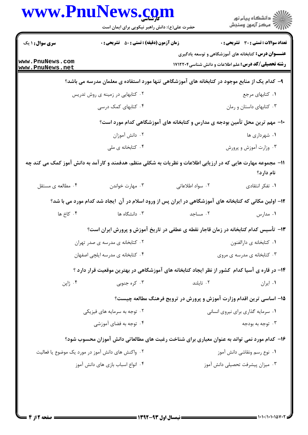|                                    | حضرت علی(ع): دانش راهبر نیکویی برای ایمان است                                                                  |                                                                              | ڪ دانشڪاه پيام نور<br>//> مرڪز آزمون وسنجش                                                                                |  |
|------------------------------------|----------------------------------------------------------------------------------------------------------------|------------------------------------------------------------------------------|---------------------------------------------------------------------------------------------------------------------------|--|
| سری سوال : ۱ یک                    | <b>زمان آزمون (دقیقه) : تستی : 50 ٪ تشریحی : 0</b>                                                             |                                                                              | تعداد سوالات : تستي : 30 ٪ تشريحي : 0                                                                                     |  |
| www.PnuNews.com<br>www.PnuNews.net |                                                                                                                |                                                                              | <b>عنـــوان درس:</b> کتابخانه های آموزشگاهی و توسعه یادگیری<br><b>رشته تحصیلی/کد درس:</b> علم اطلاعات و دانش شناسی1۷۱۲۲۰۴ |  |
|                                    | ۹– کدام یک از منابع موجود در کتابخانه های آموزشگاهی تنها مورد استفاده ی معلمان مدرسه می باشد؟                  |                                                                              |                                                                                                                           |  |
|                                    | ۰۲ کتابهایی در زمینه ی روش تدریس                                                                               |                                                                              | ٠١ كتابهاي مرجع                                                                                                           |  |
|                                    | ۰۴ کتابهای کمک درسی                                                                                            |                                                                              | ۰۳ کتابهای داستان و رمان                                                                                                  |  |
|                                    |                                                                                                                | ∙ا− مهم ترین محل تأمین بودجه ی مدارس و کتابخانه های آموزشگاهی کدام مورد است؟ |                                                                                                                           |  |
|                                    | ۰۲ دانش آموزان                                                                                                 |                                                                              | ۰۱ شهرداری ها                                                                                                             |  |
|                                    | ۰۴ کتابخانه ی ملی                                                                                              |                                                                              | ۰۳ وزارت آموزش و پرورش                                                                                                    |  |
|                                    | 1۱– مجموعه مهارت هایی که در ارزیابی اطلاعات و نظریات به شکلی منظم، هدفمند و کار آمد به دانش آموز کمک می کند چه |                                                                              | نام دارد؟                                                                                                                 |  |
| ۰۴ مطالعه ی مستقل                  | ۰۳ مهارت خواندن                                                                                                | ۰۲ سواد اطلاعاتی                                                             | ۰۱ تفکر انتقادی                                                                                                           |  |
|                                    | ۱۲– اولین مکانی که کتابخانه های آموزشگاهی در ایران پس از ورود اسلام در آن ۱یجاد شد کدام مورد می با شد؟         |                                                                              |                                                                                                                           |  |
| ۰۴ کاخ ها                          | ۰۳ دانشگاه ها                                                                                                  | ۰۲ مساجد                                                                     | ۰۱ مدارس                                                                                                                  |  |
|                                    | ۱۳– تأسیس کدام کتابخانه در زمان قاجار نقطه ی عطفی در تاریخ آموزش و پرورش ایران است؟                            |                                                                              |                                                                                                                           |  |
|                                    | ۰۲ کتابخانه ی مدرسه ی صدر تهران                                                                                |                                                                              | ٠١ كتابخانه ي دارالفنون                                                                                                   |  |
|                                    | ۰۴ کتابخانه ی مدرسه ایلچی اصفهان                                                                               |                                                                              | ۰۳ کتابخانه ی مدرسه ی مروی                                                                                                |  |
|                                    | ۱۴– در قاره ی آسیا کدام کشور از نظر ایجاد کتابخانه های آموزشگاهی در بهترین موقعیت قرار دارد ؟                  |                                                                              |                                                                                                                           |  |
| ۰۴ ژاپن                            | ۰۳ کره جنوبی                                                                                                   | ۰۲ تايلند                                                                    | ۰۱ ایران                                                                                                                  |  |
|                                    |                                                                                                                | ۱۵- اساسی ترین اقدام وزارت آموزش و پرورش در ترویج فرهنگ مطالعه چیست؟         |                                                                                                                           |  |
|                                    | ۰۲ توجه به سرمایه های فیزیکی                                                                                   |                                                                              | ٠١ سرمايه گذاري براي نيروي انساني                                                                                         |  |
|                                    | ۰۴ توجه به فضای آموزشی                                                                                         |                                                                              | ۰۳ توجه به بودجه                                                                                                          |  |
|                                    | ۱۶- کدام مورد نمی تواند به عنوان معیاری برای شناخت رغبت های مطالعاتی دانش آموزان محسوب شود؟                    |                                                                              |                                                                                                                           |  |
|                                    | ۰۲ واکنش های دانش آموز در مورد یک موضوع یا فعالیت                                                              |                                                                              | ۰۱ نوع رسم ونقاشی دانش آموز                                                                                               |  |
|                                    | ۰۴ انواع اسباب بازی های دانش آموز                                                                              |                                                                              | ۰۳ میزان پیشرفت تحصیلی دانش آموز                                                                                          |  |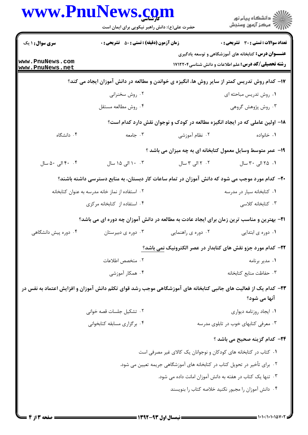| www.PnuNews.com                    | حضرت علی(ع): دانش راهبر نیکویی برای ایمان است                                                                   |                                                                  | ِ<br>∭ دانشڪاه پيام نور<br>∭ مرڪز آزمون وسنڊش                                                                             |
|------------------------------------|-----------------------------------------------------------------------------------------------------------------|------------------------------------------------------------------|---------------------------------------------------------------------------------------------------------------------------|
| <b>سری سوال :</b> ۱ یک             | <b>زمان آزمون (دقیقه) : تستی : 50 ٪ تشریحی : 0</b>                                                              |                                                                  | <b>تعداد سوالات : تستی : 30 ٪ تشریحی : 0</b>                                                                              |
| www.PnuNews.com<br>www.PnuNews.net |                                                                                                                 |                                                                  | <b>عنـــوان درس:</b> کتابخانه های آموزشگاهی و توسعه یادگیری<br><b>رشته تحصیلی/کد درس:</b> علم اطلاعات و دانش شناسی1۷۱۲۲۰۴ |
|                                    | ۱۷– کدام روش تدریس کمتر از سایر روش ها، انگیزه ی خواندن و مطالعه در دانش آموزان ایجاد می کند؟                   |                                                                  |                                                                                                                           |
|                                    | ۰۲ روش سخنرانی                                                                                                  |                                                                  | ۰۱ روش تدریس مباحثه ای                                                                                                    |
|                                    | ۰۴ روش مطالعه مستقل                                                                                             |                                                                  | ۰۳ روش پژوهش گروهی                                                                                                        |
|                                    |                                                                                                                 |                                                                  | ۱۸– اولین عاملی که در ایجاد انگیزه مطالعه در کودک و نوجوان نقش دارد کدام است؟                                             |
| ۰۴ دانشگاه                         | ۰۳ جامعه                                                                                                        | ۰۲ نظام آموزشی                                                   | ۰۱ خانواده                                                                                                                |
|                                    |                                                                                                                 |                                                                  | ۱۹- عمر متوسط وسایل معمول کتابخانه ای به چه میزان می باشد ؟                                                               |
| ۴۰ . ۴۰ الی ۵۰ سال                 | ۰۰ ۱۰ الی ۱۵ سال                                                                                                | ۰۲ ۲ الی ۳ سال                                                   | ۰۱ ۲۵ الی ۳۰ سال                                                                                                          |
|                                    | +۲- کدام مورد موجب می شود که دانش آموزان در تمام ساعات کار دبستان، به منابع دسترسی داشته باشند؟                 |                                                                  |                                                                                                                           |
|                                    | ۰۲ استفاده از نماز خانه مدرسه به عنوان کتابخانه                                                                 |                                                                  | ۰۱ کتابخانه سیار در مدرسه                                                                                                 |
|                                    | ۰۴ استفاده از کتابخانه مرکزی                                                                                    |                                                                  | ۰۳ کتابخانه کلاسی                                                                                                         |
|                                    | <b>۲۱</b> - بهترین و مناسب ترین زمان برای ایجاد عادت به مطالعه در دانش آموزان چه دوره ای می باشد؟               |                                                                  |                                                                                                                           |
| ۰۴ دوره پیش دانشگاهی               | ۰۳ دوره ی دبیرستان                                                                                              | ۰۲ دوره ی راهنمایی                                               | ۰۱ دوره ی ابتدایی                                                                                                         |
|                                    |                                                                                                                 |                                                                  | ۲۲– کدام مورد جزو نقش های کتابدار در عصر الکترونیک نمی باشد؟                                                              |
|                                    | ٢. متخصص اطلاعات                                                                                                |                                                                  | ۰۱ مدیر برنامه                                                                                                            |
|                                    | ۰۴ همکار آموزشی                                                                                                 |                                                                  | ٠٣ حفاظت منابع كتابخانه                                                                                                   |
|                                    | ۲۳– کدام یک از فعالیت های جانبی کتابخانه های آموزشگاهی موجب رشد قوای تکلم دانش آموزان و افزایش اعتماد به نفس در |                                                                  |                                                                                                                           |
|                                    |                                                                                                                 |                                                                  | آنها می شود؟                                                                                                              |
|                                    | ٠٢ تشكيل جلسات قصه خواني                                                                                        |                                                                  | ٠١ ايجاد روزنامه ديواري                                                                                                   |
|                                    | ۰۴ برگزاری مسابقه کتابخوانی                                                                                     |                                                                  | ۰۳ معرفی کتابهای خوب در تابلوی مدرسه                                                                                      |
|                                    |                                                                                                                 |                                                                  | ۲۴– کدام گزینه صحیح می باشد ؟                                                                                             |
|                                    |                                                                                                                 | ۰۱ کتاب در کتابخانه های کودکان و نوجوانان یک کالای غیر مصرفی است |                                                                                                                           |
|                                    |                                                                                                                 |                                                                  | ۰۲ برای تأخیر در تحویل کتاب در کتابخانه های آموزشگاهی جریمه تعیین می شود.                                                 |
|                                    |                                                                                                                 |                                                                  | ۰۳ تنها یک کتاب در هفته به دانش آموزان امانت داده می شود.                                                                 |
|                                    |                                                                                                                 |                                                                  | ۰۴ دانش آموزان را مجبور نكنيد خلاصه كتاب را بنويسند                                                                       |